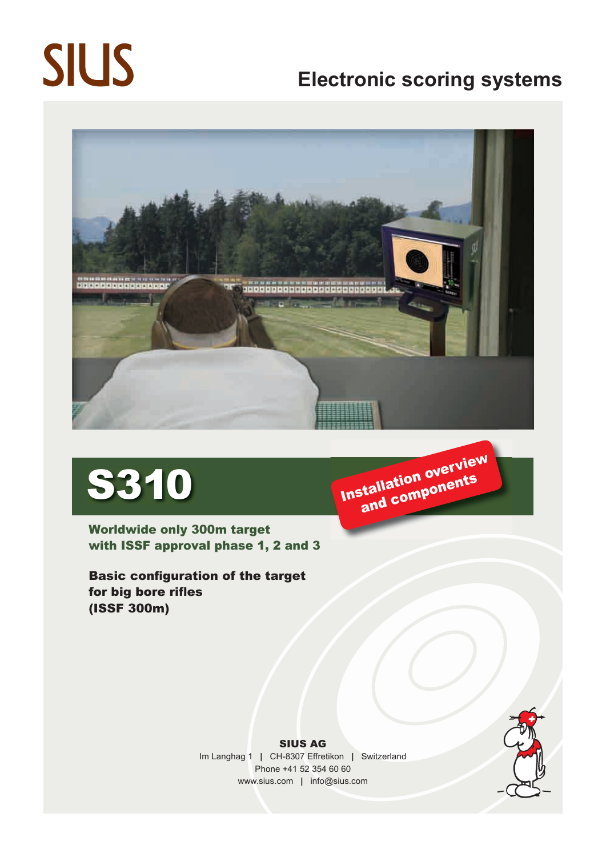# **SIUS**

## **Electronic scoring systems**





Worldwide only 300m target with ISSF approval phase 1, 2 and 3

Basic configuration of the target for big bore rifles (ISSF 300m)





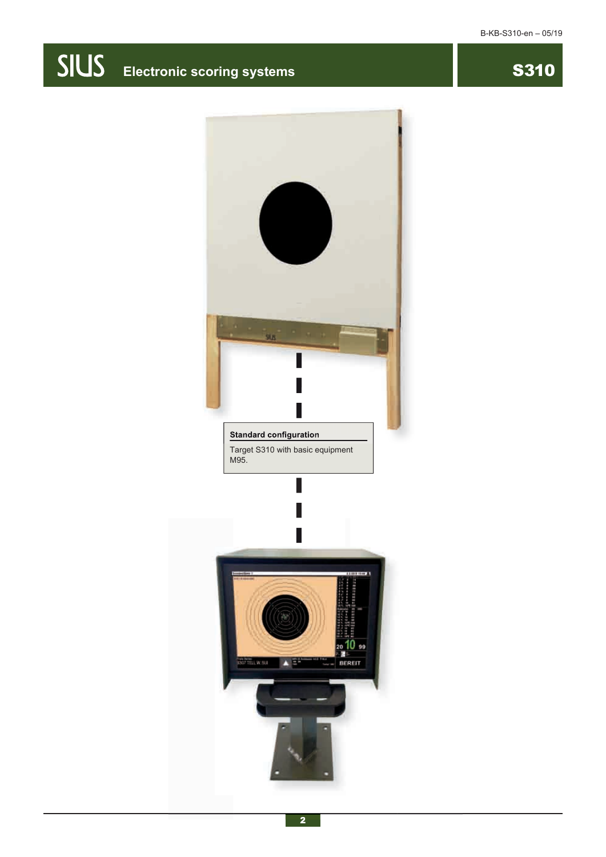## **SIUS** Electronic scoring systems **SIUS** S310

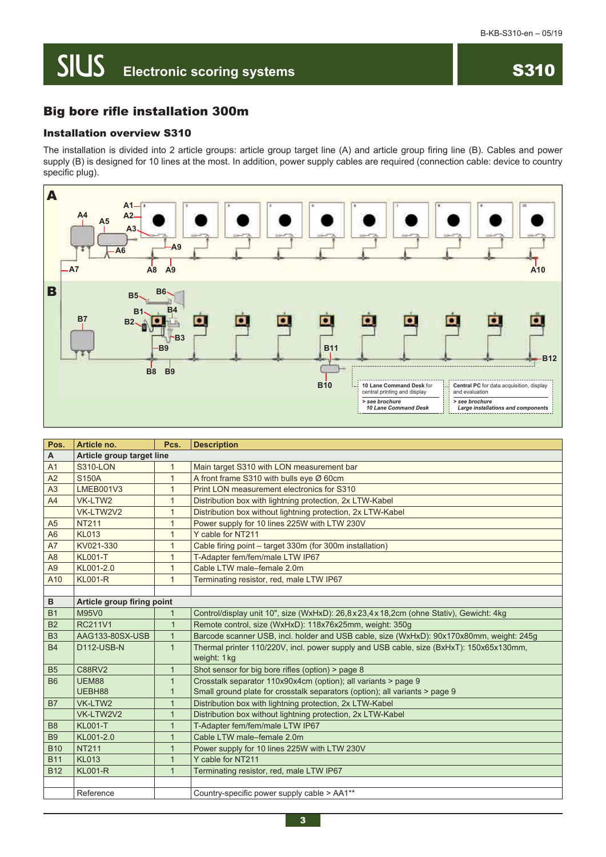### **SIUS Electronic scoring systems**

#### Installation overview S310

The installation is divided into 2 article groups: article group target line (A) and article group firing line (B). Cables and power supply (B) is designed for 10 lines at the most. In addition, power supply cables are required (connection cable: device to country specific plug).



| Pos.           | Article no.                | Pcs.         | <b>Description</b>                                                                       |  |
|----------------|----------------------------|--------------|------------------------------------------------------------------------------------------|--|
| A              | Article group target line  |              |                                                                                          |  |
| A <sub>1</sub> | <b>S310-LON</b>            | $\mathbf{1}$ | Main target S310 with LON measurement bar                                                |  |
| A2             | <b>S150A</b>               | $\mathbf{1}$ | A front frame S310 with bulls eye Ø 60cm                                                 |  |
| A <sub>3</sub> | <b>LMEB001V3</b>           | $\mathbf{1}$ | Print LON measurement electronics for S310                                               |  |
| A4             | VK-LTW2                    | $\mathbf{1}$ | Distribution box with lightning protection, 2x LTW-Kabel                                 |  |
|                | VK-LTW2V2                  | $\mathbf{1}$ | Distribution box without lightning protection, 2x LTW-Kabel                              |  |
| A <sub>5</sub> | <b>NT211</b>               | $\mathbf{1}$ | Power supply for 10 lines 225W with LTW 230V                                             |  |
| A6             | <b>KL013</b>               | $\mathbf{1}$ | Y cable for NT211                                                                        |  |
| A7             | KV021-330                  | $\mathbf{1}$ | Cable firing point - target 330m (for 300m installation)                                 |  |
| A <sub>8</sub> | <b>KL001-T</b>             | $\mathbf{1}$ | T-Adapter fem/fem/male LTW IP67                                                          |  |
| A <sub>9</sub> | KL001-2.0                  | $\mathbf{1}$ | Cable LTW male-female 2.0m                                                               |  |
| A10            | <b>KL001-R</b>             | $\mathbf{1}$ | Terminating resistor, red, male LTW IP67                                                 |  |
|                |                            |              |                                                                                          |  |
| $\, {\bf B}$   | Article group firing point |              |                                                                                          |  |
| <b>B1</b>      | M95V0                      | $\mathbf{1}$ | Control/display unit 10", size (WxHxD): 26,8x23,4x18,2cm (ohne Stativ), Gewicht: 4kg     |  |
| <b>B2</b>      | <b>RC211V1</b>             | $\mathbf{1}$ | Remote control, size (WxHxD): 118x76x25mm, weight: 350g                                  |  |
| <b>B3</b>      | AAG133-80SX-USB            | $\mathbf{1}$ | Barcode scanner USB, incl. holder and USB cable, size (WxHxD): 90x170x80mm, weight: 245g |  |
| <b>B4</b>      | D112-USB-N                 | $\mathbf{1}$ | Thermal printer 110/220V, incl. power supply and USB cable, size (BxHxT): 150x65x130mm,  |  |
|                |                            |              | weight: 1 kg                                                                             |  |
| <b>B5</b>      | <b>C88RV2</b>              | $\mathbf{1}$ | Shot sensor for big bore rifles (option) > page 8                                        |  |
| <b>B6</b>      | UEM88                      | $\mathbf{1}$ | Crosstalk separator 110x90x4cm (option); all variants > page 9                           |  |
|                | UEBH88                     | 1            | Small ground plate for crosstalk separators (option); all variants > page 9              |  |
| <b>B7</b>      | VK-LTW2                    | $\mathbf{1}$ | Distribution box with lightning protection, 2x LTW-Kabel                                 |  |
|                | VK-LTW2V2                  | $\mathbf{1}$ | Distribution box without lightning protection, 2x LTW-Kabel                              |  |
| B <sub>8</sub> | <b>KL001-T</b>             | $\mathbf{1}$ | T-Adapter fem/fem/male LTW IP67                                                          |  |
| <b>B9</b>      | KL001-2.0                  | $\mathbf{1}$ | Cable LTW male-female 2.0m                                                               |  |
| <b>B10</b>     | <b>NT211</b>               | $\mathbf{1}$ | Power supply for 10 lines 225W with LTW 230V                                             |  |
| <b>B11</b>     | <b>KL013</b>               | $\mathbf{1}$ | Y cable for NT211                                                                        |  |
| <b>B12</b>     | <b>KL001-R</b>             | $\mathbf{1}$ | Terminating resistor, red, male LTW IP67                                                 |  |
|                |                            |              |                                                                                          |  |
|                | Reference                  |              | Country-specific power supply cable > AA1**                                              |  |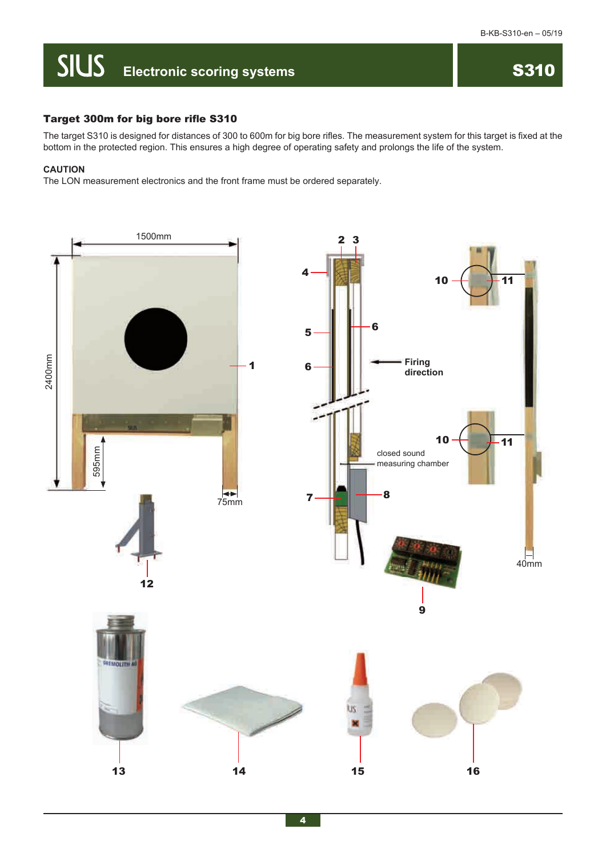## **SIUS** Electronic scoring systems **SIUS** S310

#### Target 300m for big bore rifle S310

The target S310 is designed for distances of 300 to 600m for big bore rifles. The measurement system for this target is fixed at the bottom in the protected region. This ensures a high degree of operating safety and prolongs the life of the system.

#### **CAUTION**

The LON measurement electronics and the front frame must be ordered separately.

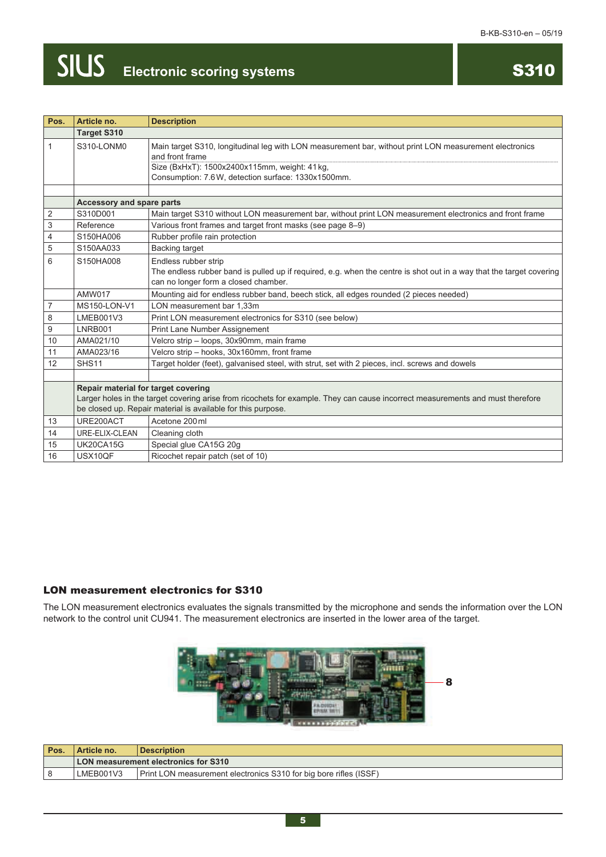## **Electronic scoring systems**

## S310

| Pos.             | Article no.                                                                                                                                                                                                                           | <b>Description</b>                                                                                                                                                                                                              |
|------------------|---------------------------------------------------------------------------------------------------------------------------------------------------------------------------------------------------------------------------------------|---------------------------------------------------------------------------------------------------------------------------------------------------------------------------------------------------------------------------------|
|                  | <b>Target S310</b>                                                                                                                                                                                                                    |                                                                                                                                                                                                                                 |
| $\mathbf{1}$     | S310-LONM0                                                                                                                                                                                                                            | Main target S310, longitudinal leg with LON measurement bar, without print LON measurement electronics<br>and front frame<br>Size (BxHxT): 1500x2400x115mm, weight: 41kg,<br>Consumption: 7.6W, detection surface: 1330x1500mm. |
|                  |                                                                                                                                                                                                                                       |                                                                                                                                                                                                                                 |
|                  | Accessory and spare parts                                                                                                                                                                                                             |                                                                                                                                                                                                                                 |
| $\overline{2}$   | S310D001                                                                                                                                                                                                                              | Main target S310 without LON measurement bar, without print LON measurement electronics and front frame                                                                                                                         |
| $\mathbf{3}$     | Reference                                                                                                                                                                                                                             | Various front frames and target front masks (see page 8-9)                                                                                                                                                                      |
| $\overline{4}$   | S150HA006                                                                                                                                                                                                                             | Rubber profile rain protection                                                                                                                                                                                                  |
| $\,$ 5 $\,$      | S150AA033                                                                                                                                                                                                                             | <b>Backing target</b>                                                                                                                                                                                                           |
| 6                | S150HA008                                                                                                                                                                                                                             | Endless rubber strip<br>The endless rubber band is pulled up if required, e.g. when the centre is shot out in a way that the target covering<br>can no longer form a closed chamber.                                            |
|                  | <b>AMW017</b>                                                                                                                                                                                                                         | Mounting aid for endless rubber band, beech stick, all edges rounded (2 pieces needed)                                                                                                                                          |
| $\overline{7}$   | MS150-LON-V1                                                                                                                                                                                                                          | LON measurement bar 1,33m                                                                                                                                                                                                       |
| 8                | LMEB001V3                                                                                                                                                                                                                             | Print LON measurement electronics for S310 (see below)                                                                                                                                                                          |
| $\boldsymbol{9}$ | LNRB001                                                                                                                                                                                                                               | Print Lane Number Assignement                                                                                                                                                                                                   |
| 10               | AMA021/10                                                                                                                                                                                                                             | Velcro strip - loops, 30x90mm, main frame                                                                                                                                                                                       |
| 11               | AMA023/16                                                                                                                                                                                                                             | Velcro strip - hooks, 30x160mm, front frame                                                                                                                                                                                     |
| 12               | SHS <sub>11</sub>                                                                                                                                                                                                                     | Target holder (feet), galvanised steel, with strut, set with 2 pieces, incl. screws and dowels                                                                                                                                  |
|                  |                                                                                                                                                                                                                                       |                                                                                                                                                                                                                                 |
|                  | Repair material for target covering<br>Larger holes in the target covering arise from ricochets for example. They can cause incorrect measurements and must therefore<br>be closed up. Repair material is available for this purpose. |                                                                                                                                                                                                                                 |
| 13               | URE200ACT                                                                                                                                                                                                                             | Acetone 200 ml                                                                                                                                                                                                                  |
| 14               | URE-ELIX-CLEAN                                                                                                                                                                                                                        | Cleaning cloth                                                                                                                                                                                                                  |
| 15               | UK20CA15G                                                                                                                                                                                                                             | Special glue CA15G 20g                                                                                                                                                                                                          |
| 16               | USX10QF                                                                                                                                                                                                                               | Ricochet repair patch (set of 10)                                                                                                                                                                                               |

#### LON measurement electronics for S310

The LON measurement electronics evaluates the signals transmitted by the microphone and sends the information over the LON network to the control unit CU941. The measurement electronics are inserted in the lower area of the target.



| Pos. | Article no. | <b>Description</b>                                                       |
|------|-------------|--------------------------------------------------------------------------|
|      |             | LON measurement electronics for S310                                     |
|      | LMEB001V3   | <b>Print LON measurement electronics S310 for big bore rifles (ISSF)</b> |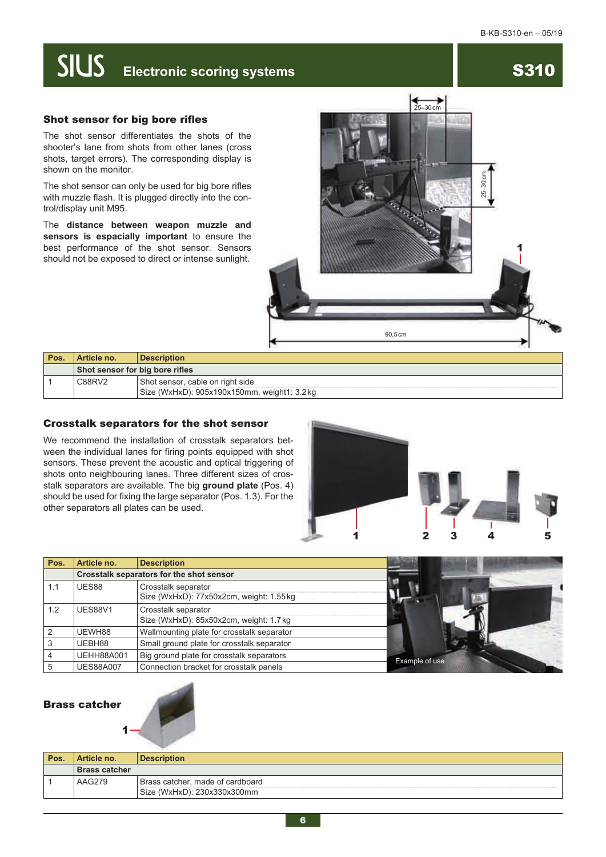### **SIUS Electronic scoring systems** S310

#### Shot sensor for big bore rifles

The shot sensor differentiates the shots of the shooter's lane from shots from other lanes (cross shots, target errors). The corresponding display is shown on the monitor.

The shot sensor can only be used for big bore rifles with muzzle flash. It is plugged directly into the control/display unit M95.

The **distance between weapon muzzle and sensors is espacially important** to ensure the best performance of the shot sensor. Sensors should not be exposed to direct or intense sunlight.



| <b>Pos</b> | Article no.                     | <b>Description</b>                                                               |
|------------|---------------------------------|----------------------------------------------------------------------------------|
|            | Shot sensor for big bore rifles |                                                                                  |
|            | C88RV2                          | Shot sensor, cable on right side<br>Size (WxHxD): 905x190x150mm, weight1: 3.2 kg |

#### Crosstalk separators for the shot sensor

We recommend the installation of crosstalk separators between the individual lanes for firing points equipped with shot sensors. These prevent the acoustic and optical triggering of shots onto neighbouring lanes. Three different sizes of crosstalk separators are available. The big **ground plate** (Pos. 4) should be used for fixing the large separator (Pos. 1.3). For the other separators all plates can be used.



| Pos. | Article no.       | <b>Description</b>                                             |                |
|------|-------------------|----------------------------------------------------------------|----------------|
|      |                   | Crosstalk separators for the shot sensor                       |                |
| 1.1  | UES88             | Crosstalk separator<br>Size (WxHxD): 77x50x2cm, weight: 1.55kg |                |
| 1.2  | UES88V1           | Crosstalk separator<br>Size (WxHxD): 85x50x2cm, weight: 1.7 kg |                |
|      | UEWH88            | Wallmounting plate for crosstalk separator                     |                |
|      | UEBH88            | Small ground plate for crosstalk separator                     |                |
|      | <b>UEHH88A001</b> | Big ground plate for crosstalk separators                      |                |
|      | <b>UES88A007</b>  | Connection bracket for crosstalk panels                        | Example of use |

#### Brass catcher

1

|      |                      | --                                                              |
|------|----------------------|-----------------------------------------------------------------|
| Pos. | Article no.          | <b>Description</b>                                              |
|      | <b>Brass catcher</b> |                                                                 |
|      | AAG279               | Brass catcher, made of cardboard<br>Size (WxHxD): 230x330x300mm |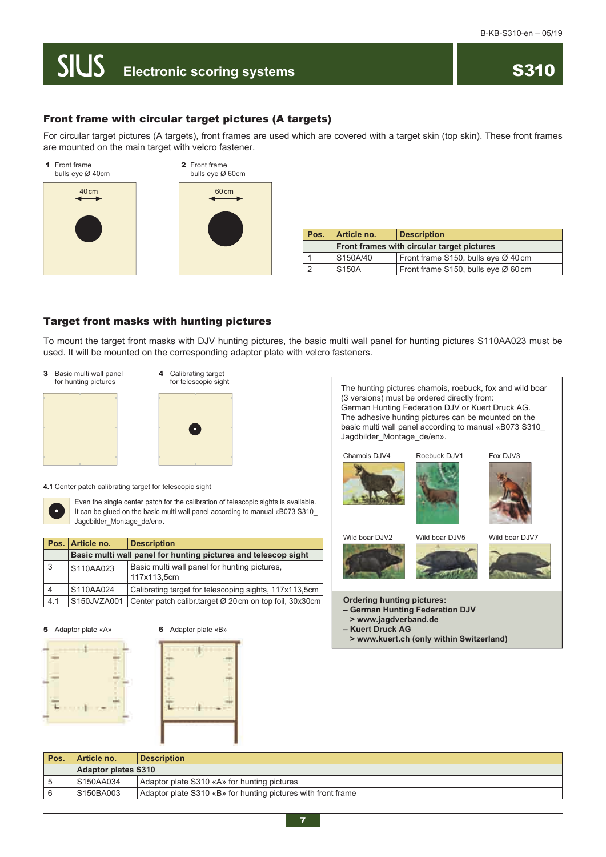### **SIUS Electronic scoring systems**

#### Front frame with circular target pictures (A targets)

For circular target pictures (A targets), front frames are used which are covered with a target skin (top skin). These front frames are mounted on the main target with velcro fastener.





| Pos. | Article no.                                | <b>Description</b>                  |
|------|--------------------------------------------|-------------------------------------|
|      | Front frames with circular target pictures |                                     |
|      | S150A/40                                   | Front frame S150, bulls eye Ø 40 cm |
|      | S <sub>150</sub> A                         | Front frame S150, bulls eye Ø 60 cm |

#### Target front masks with hunting pictures

To mount the target front masks with DJV hunting pictures, the basic multi wall panel for hunting pictures S110AA023 must be used. It will be mounted on the corresponding adaptor plate with velcro fasteners.





**4.1** Center patch calibrating target for telescopic sight



Even the single center patch for the calibration of telescopic sights is available. It can be glued on the basic multi wall panel according to manual «B073 S310\_ Jagdbilder\_Montage\_de/en».

|                | Pos.   Article no. | <b>Description</b>                                             |
|----------------|--------------------|----------------------------------------------------------------|
|                |                    | Basic multi wall panel for hunting pictures and telescop sight |
| 3 <sup>1</sup> | S110AA023          | Basic multi wall panel for hunting pictures.<br>117x113,5cm    |
| 4              | S110AA024          | Calibrating target for telescoping sights, 117x113,5cm         |
| 4.1            | S150JVZA001        | Center patch calibr target Ø 20 cm on top foil, 30x30 cm       |

**5** Adaptor plate «A» **6** Adaptor plate «B»







| Pos. | Article no.         | <b>Description</b>                                           |
|------|---------------------|--------------------------------------------------------------|
|      | Adaptor plates S310 |                                                              |
|      | S150AA034           | Adaptor plate S310 «A» for hunting pictures                  |
|      | S150BA003           | Adaptor plate S310 «B» for hunting pictures with front frame |